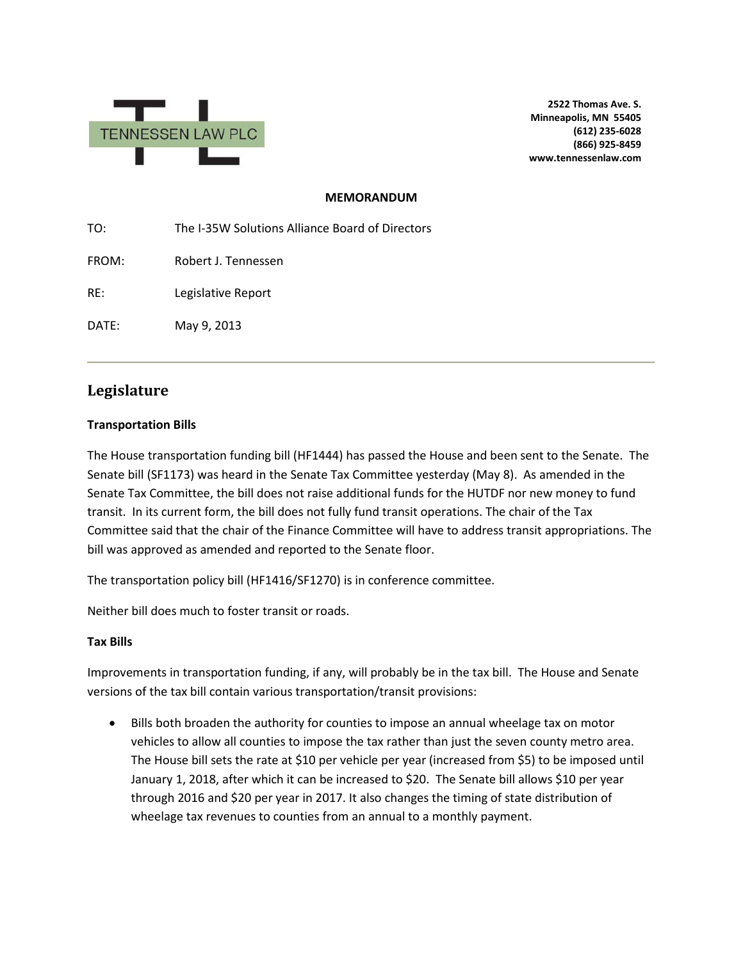

**2522 Thomas Ave. S. Minneapolis, MN 55405 (612) 235-6028 (866) 925-8459 www.tennessenlaw.com**

#### **MEMORANDUM**

TO: The I-35W Solutions Alliance Board of Directors FROM: Robert J. Tennessen RE: Legislative Report DATE: May 9, 2013

# **Legislature**

### **Transportation Bills**

The House transportation funding bill (HF1444) has passed the House and been sent to the Senate. The Senate bill (SF1173) was heard in the Senate Tax Committee yesterday (May 8). As amended in the Senate Tax Committee, the bill does not raise additional funds for the HUTDF nor new money to fund transit. In its current form, the bill does not fully fund transit operations. The chair of the Tax Committee said that the chair of the Finance Committee will have to address transit appropriations. The bill was approved as amended and reported to the Senate floor.

The transportation policy bill (HF1416/SF1270) is in conference committee.

Neither bill does much to foster transit or roads.

#### **Tax Bills**

Improvements in transportation funding, if any, will probably be in the tax bill. The House and Senate versions of the tax bill contain various transportation/transit provisions:

• Bills both broaden the authority for counties to impose an annual wheelage tax on motor vehicles to allow all counties to impose the tax rather than just the seven county metro area. The House bill sets the rate at \$10 per vehicle per year (increased from \$5) to be imposed until January 1, 2018, after which it can be increased to \$20. The Senate bill allows \$10 per year through 2016 and \$20 per year in 2017. It also changes the timing of state distribution of wheelage tax revenues to counties from an annual to a monthly payment.